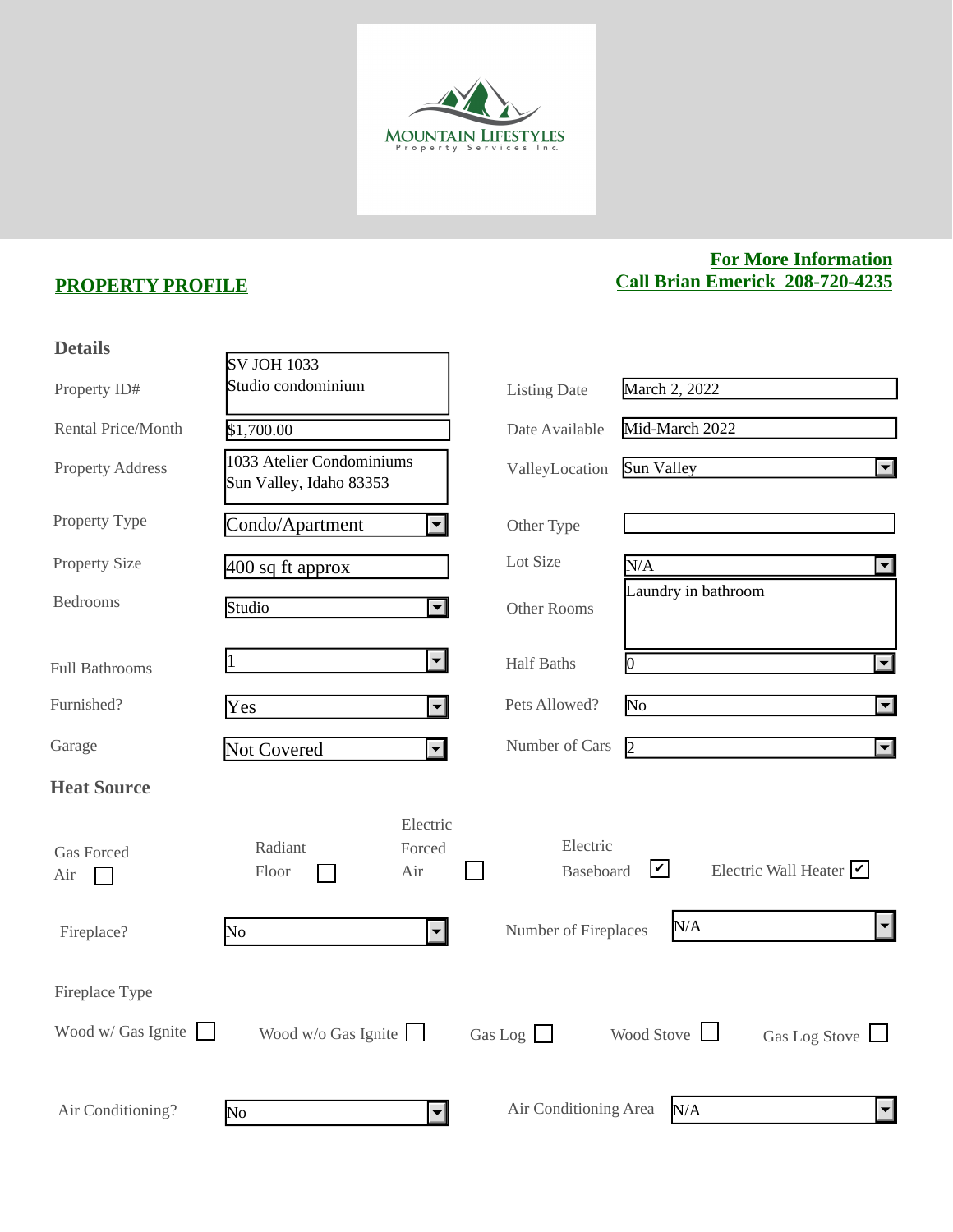

## **PROPERTY PROFILE**

## **For More Information Call Brian Emerick 208-720-4235**

| <b>Details</b>           |                                                      |                          |                       |                                                         |                                  |
|--------------------------|------------------------------------------------------|--------------------------|-----------------------|---------------------------------------------------------|----------------------------------|
|                          | <b>SV JOH 1033</b>                                   |                          |                       |                                                         |                                  |
| Property ID#             | Studio condominium                                   |                          | <b>Listing Date</b>   | March 2, 2022                                           |                                  |
| Rental Price/Month       | \$1,700.00                                           |                          | Date Available        | Mid-March 2022                                          |                                  |
| <b>Property Address</b>  | 1033 Atelier Condominiums<br>Sun Valley, Idaho 83353 |                          | ValleyLocation        | Sun Valley                                              | $\vert \blacktriangledown \vert$ |
| Property Type            | Condo/Apartment                                      | $\left  \bullet \right $ | Other Type            |                                                         |                                  |
| <b>Property Size</b>     | $400$ sq ft approx                                   |                          | Lot Size              | N/A                                                     | $\vert \vert$                    |
| <b>Bedrooms</b>          | Studio                                               | $\blacktriangleleft$     | Other Rooms           | Laundry in bathroom                                     |                                  |
| <b>Full Bathrooms</b>    |                                                      | $\left  \cdot \right $   | <b>Half Baths</b>     | O.                                                      | $\overline{\mathbf{y}}$          |
| Furnished?               | Yes                                                  | $\left  \cdot \right $   | Pets Allowed?         | No                                                      | $\overline{\mathbf{r}}$          |
| Garage                   | Not Covered                                          | $\overline{\mathbf{v}}$  | Number of Cars        | $\vert$ 2                                               | $\vert \blacktriangledown \vert$ |
| <b>Heat Source</b>       |                                                      |                          |                       |                                                         |                                  |
| <b>Gas Forced</b><br>Air | Electric<br>Radiant<br>Forced<br>Floor<br>Air        |                          | Electric<br>Baseboard | $ \mathcal{V} $<br>Electric Wall Heater $\triangledown$ |                                  |
| Fireplace?               | No                                                   | $\mathbf{r}$             | Number of Fireplaces  | N/A                                                     | $\blacktriangledown$             |
| Fireplace Type           |                                                      |                          |                       |                                                         |                                  |
| Wood $w /$ Gas Ignite    | Wood $w/o$ Gas Ignite                                |                          | Gas Log $\Box$        | Wood Stove<br>Gas Log Stove                             |                                  |
| Air Conditioning?        | $\overline{\text{No}}$                               | $\overline{\mathbf{v}}$  | Air Conditioning Area | N/A                                                     | $\vert \mathbf{v} \vert$         |